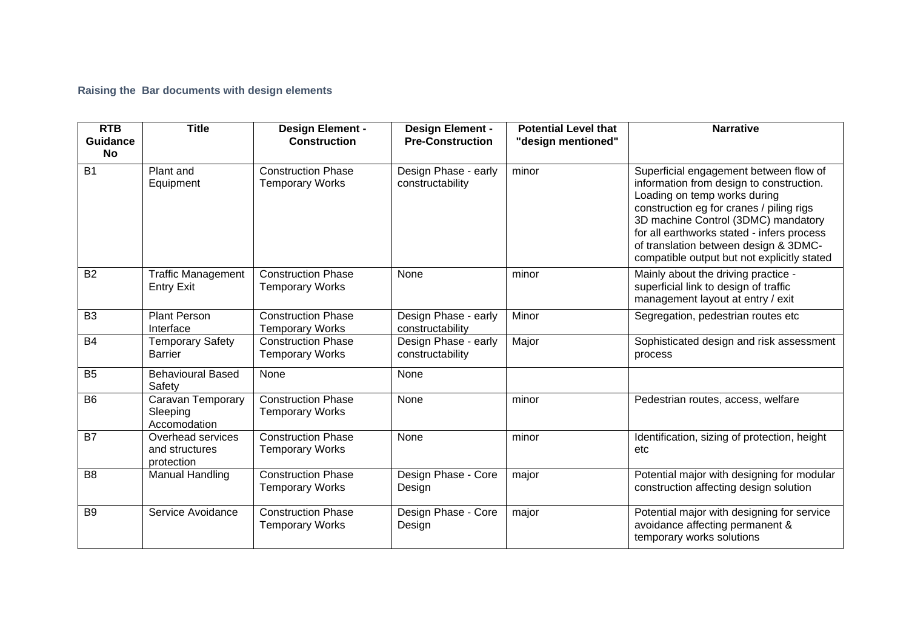**Raising the Bar documents with design elements**

| <b>RTB</b><br><b>Guidance</b> | <b>Title</b>                                      | <b>Design Element -</b><br><b>Construction</b>      | <b>Design Element -</b><br><b>Pre-Construction</b> | <b>Potential Level that</b><br>"design mentioned" | <b>Narrative</b>                                                                                                                                                                                                                                                                                                                            |
|-------------------------------|---------------------------------------------------|-----------------------------------------------------|----------------------------------------------------|---------------------------------------------------|---------------------------------------------------------------------------------------------------------------------------------------------------------------------------------------------------------------------------------------------------------------------------------------------------------------------------------------------|
| <b>No</b>                     |                                                   |                                                     |                                                    |                                                   |                                                                                                                                                                                                                                                                                                                                             |
| <b>B1</b>                     | Plant and<br>Equipment                            | <b>Construction Phase</b><br><b>Temporary Works</b> | Design Phase - early<br>constructability           | minor                                             | Superficial engagement between flow of<br>information from design to construction.<br>Loading on temp works during<br>construction eg for cranes / piling rigs<br>3D machine Control (3DMC) mandatory<br>for all earthworks stated - infers process<br>of translation between design & 3DMC-<br>compatible output but not explicitly stated |
| <b>B2</b>                     | <b>Traffic Management</b><br><b>Entry Exit</b>    | <b>Construction Phase</b><br><b>Temporary Works</b> | None                                               | minor                                             | Mainly about the driving practice -<br>superficial link to design of traffic<br>management layout at entry / exit                                                                                                                                                                                                                           |
| B <sub>3</sub>                | <b>Plant Person</b><br>Interface                  | <b>Construction Phase</b><br><b>Temporary Works</b> | Design Phase - early<br>constructability           | Minor                                             | Segregation, pedestrian routes etc                                                                                                                                                                                                                                                                                                          |
| <b>B4</b>                     | <b>Temporary Safety</b><br><b>Barrier</b>         | <b>Construction Phase</b><br><b>Temporary Works</b> | Design Phase - early<br>constructability           | Major                                             | Sophisticated design and risk assessment<br>process                                                                                                                                                                                                                                                                                         |
| B <sub>5</sub>                | <b>Behavioural Based</b><br>Safety                | None                                                | None                                               |                                                   |                                                                                                                                                                                                                                                                                                                                             |
| B <sub>6</sub>                | Caravan Temporary<br>Sleeping<br>Accomodation     | <b>Construction Phase</b><br><b>Temporary Works</b> | None                                               | minor                                             | Pedestrian routes, access, welfare                                                                                                                                                                                                                                                                                                          |
| <b>B7</b>                     | Overhead services<br>and structures<br>protection | <b>Construction Phase</b><br><b>Temporary Works</b> | None                                               | minor                                             | Identification, sizing of protection, height<br>etc                                                                                                                                                                                                                                                                                         |
| B <sub>8</sub>                | Manual Handling                                   | <b>Construction Phase</b><br><b>Temporary Works</b> | Design Phase - Core<br>Design                      | major                                             | Potential major with designing for modular<br>construction affecting design solution                                                                                                                                                                                                                                                        |
| B <sub>9</sub>                | Service Avoidance                                 | <b>Construction Phase</b><br><b>Temporary Works</b> | Design Phase - Core<br>Design                      | major                                             | Potential major with designing for service<br>avoidance affecting permanent &<br>temporary works solutions                                                                                                                                                                                                                                  |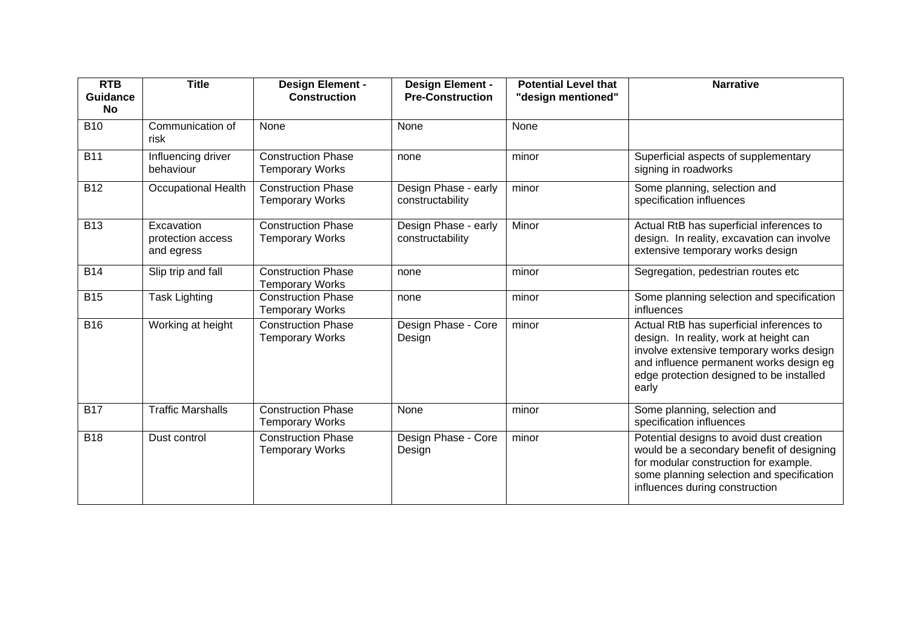| <b>RTB</b><br>Guidance<br>No | <b>Title</b>                                  | <b>Design Element -</b><br><b>Construction</b>      | <b>Design Element -</b><br><b>Pre-Construction</b> | <b>Potential Level that</b><br>"design mentioned" | <b>Narrative</b>                                                                                                                                                                                                               |
|------------------------------|-----------------------------------------------|-----------------------------------------------------|----------------------------------------------------|---------------------------------------------------|--------------------------------------------------------------------------------------------------------------------------------------------------------------------------------------------------------------------------------|
| <b>B10</b>                   | Communication of<br>risk                      | None                                                | None                                               | None                                              |                                                                                                                                                                                                                                |
| <b>B11</b>                   | Influencing driver<br>behaviour               | <b>Construction Phase</b><br><b>Temporary Works</b> | none                                               | minor                                             | Superficial aspects of supplementary<br>signing in roadworks                                                                                                                                                                   |
| <b>B12</b>                   | <b>Occupational Health</b>                    | <b>Construction Phase</b><br><b>Temporary Works</b> | Design Phase - early<br>constructability           | minor                                             | Some planning, selection and<br>specification influences                                                                                                                                                                       |
| <b>B13</b>                   | Excavation<br>protection access<br>and egress | <b>Construction Phase</b><br><b>Temporary Works</b> | Design Phase - early<br>constructability           | Minor                                             | Actual RtB has superficial inferences to<br>design. In reality, excavation can involve<br>extensive temporary works design                                                                                                     |
| <b>B14</b>                   | Slip trip and fall                            | <b>Construction Phase</b><br><b>Temporary Works</b> | none                                               | minor                                             | Segregation, pedestrian routes etc                                                                                                                                                                                             |
| <b>B15</b>                   | <b>Task Lighting</b>                          | <b>Construction Phase</b><br><b>Temporary Works</b> | none                                               | minor                                             | Some planning selection and specification<br>influences                                                                                                                                                                        |
| <b>B16</b>                   | Working at height                             | <b>Construction Phase</b><br><b>Temporary Works</b> | Design Phase - Core<br>Design                      | minor                                             | Actual RtB has superficial inferences to<br>design. In reality, work at height can<br>involve extensive temporary works design<br>and influence permanent works design eg<br>edge protection designed to be installed<br>early |
| <b>B17</b>                   | <b>Traffic Marshalls</b>                      | <b>Construction Phase</b><br><b>Temporary Works</b> | None                                               | minor                                             | Some planning, selection and<br>specification influences                                                                                                                                                                       |
| <b>B18</b>                   | Dust control                                  | <b>Construction Phase</b><br><b>Temporary Works</b> | Design Phase - Core<br>Design                      | minor                                             | Potential designs to avoid dust creation<br>would be a secondary benefit of designing<br>for modular construction for example.<br>some planning selection and specification<br>influences during construction                  |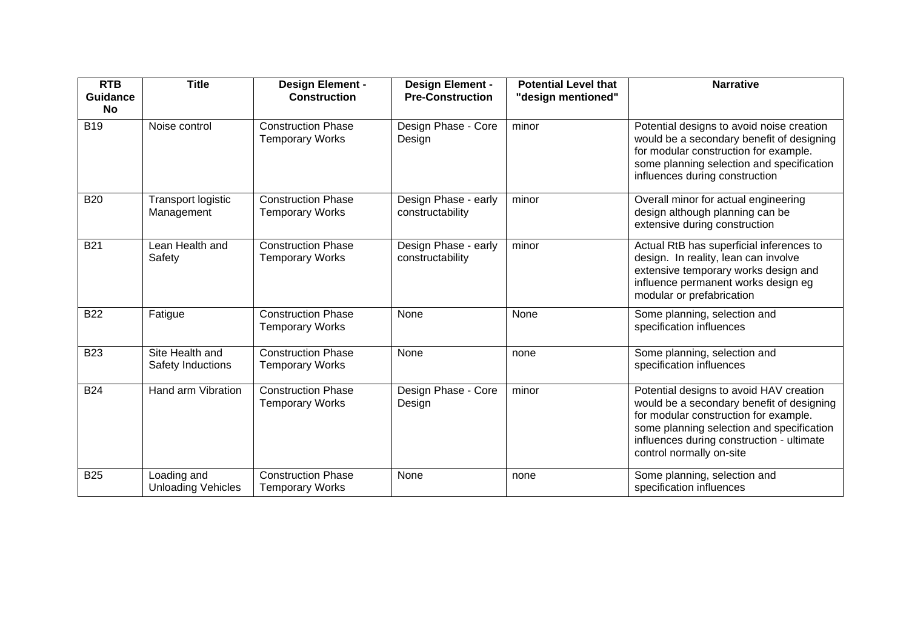| <b>RTB</b><br><b>Guidance</b> | <b>Title</b>                             | <b>Design Element -</b><br><b>Construction</b>      | <b>Design Element -</b><br><b>Pre-Construction</b> | <b>Potential Level that</b><br>"design mentioned" | <b>Narrative</b>                                                                                                                                                                                                                                    |
|-------------------------------|------------------------------------------|-----------------------------------------------------|----------------------------------------------------|---------------------------------------------------|-----------------------------------------------------------------------------------------------------------------------------------------------------------------------------------------------------------------------------------------------------|
| No<br><b>B19</b>              | Noise control                            | <b>Construction Phase</b><br><b>Temporary Works</b> | Design Phase - Core<br>Design                      | minor                                             | Potential designs to avoid noise creation<br>would be a secondary benefit of designing<br>for modular construction for example.<br>some planning selection and specification<br>influences during construction                                      |
| <b>B20</b>                    | <b>Transport logistic</b><br>Management  | <b>Construction Phase</b><br><b>Temporary Works</b> | Design Phase - early<br>constructability           | minor                                             | Overall minor for actual engineering<br>design although planning can be<br>extensive during construction                                                                                                                                            |
| <b>B21</b>                    | Lean Health and<br>Safety                | <b>Construction Phase</b><br><b>Temporary Works</b> | Design Phase - early<br>constructability           | minor                                             | Actual RtB has superficial inferences to<br>design. In reality, lean can involve<br>extensive temporary works design and<br>influence permanent works design eg<br>modular or prefabrication                                                        |
| <b>B22</b>                    | Fatigue                                  | <b>Construction Phase</b><br><b>Temporary Works</b> | None                                               | None                                              | Some planning, selection and<br>specification influences                                                                                                                                                                                            |
| <b>B23</b>                    | Site Health and<br>Safety Inductions     | <b>Construction Phase</b><br><b>Temporary Works</b> | None                                               | none                                              | Some planning, selection and<br>specification influences                                                                                                                                                                                            |
| <b>B24</b>                    | Hand arm Vibration                       | <b>Construction Phase</b><br><b>Temporary Works</b> | Design Phase - Core<br>Design                      | minor                                             | Potential designs to avoid HAV creation<br>would be a secondary benefit of designing<br>for modular construction for example.<br>some planning selection and specification<br>influences during construction - ultimate<br>control normally on-site |
| <b>B25</b>                    | Loading and<br><b>Unloading Vehicles</b> | <b>Construction Phase</b><br><b>Temporary Works</b> | None                                               | none                                              | Some planning, selection and<br>specification influences                                                                                                                                                                                            |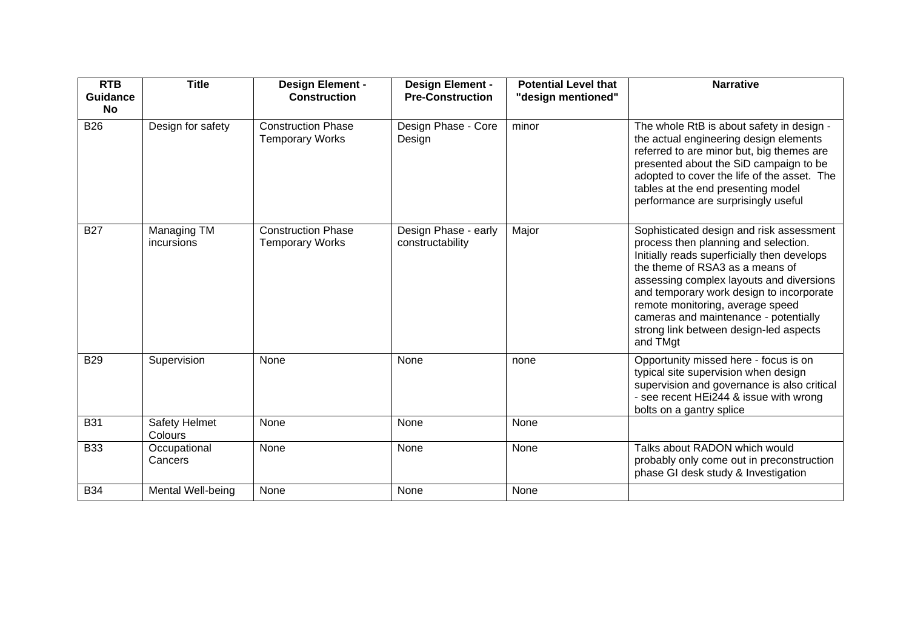| <b>RTB</b><br><b>Guidance</b> | <b>Title</b>              | <b>Design Element -</b><br><b>Construction</b>      | <b>Design Element -</b><br><b>Pre-Construction</b> | <b>Potential Level that</b><br>"design mentioned" | <b>Narrative</b>                                                                                                                                                                                                                                                                                                                                                                              |
|-------------------------------|---------------------------|-----------------------------------------------------|----------------------------------------------------|---------------------------------------------------|-----------------------------------------------------------------------------------------------------------------------------------------------------------------------------------------------------------------------------------------------------------------------------------------------------------------------------------------------------------------------------------------------|
| <b>No</b><br><b>B26</b>       | Design for safety         | <b>Construction Phase</b><br><b>Temporary Works</b> | Design Phase - Core<br>Design                      | minor                                             | The whole RtB is about safety in design -<br>the actual engineering design elements<br>referred to are minor but, big themes are<br>presented about the SiD campaign to be<br>adopted to cover the life of the asset. The<br>tables at the end presenting model<br>performance are surprisingly useful                                                                                        |
| <b>B27</b>                    | Managing TM<br>incursions | <b>Construction Phase</b><br><b>Temporary Works</b> | Design Phase - early<br>constructability           | Major                                             | Sophisticated design and risk assessment<br>process then planning and selection.<br>Initially reads superficially then develops<br>the theme of RSA3 as a means of<br>assessing complex layouts and diversions<br>and temporary work design to incorporate<br>remote monitoring, average speed<br>cameras and maintenance - potentially<br>strong link between design-led aspects<br>and TMgt |
| <b>B29</b>                    | Supervision               | None                                                | None                                               | none                                              | Opportunity missed here - focus is on<br>typical site supervision when design<br>supervision and governance is also critical<br>- see recent HEi244 & issue with wrong<br>bolts on a gantry splice                                                                                                                                                                                            |
| <b>B31</b>                    | Safety Helmet<br>Colours  | None                                                | None                                               | None                                              |                                                                                                                                                                                                                                                                                                                                                                                               |
| <b>B33</b>                    | Occupational<br>Cancers   | None                                                | None                                               | None                                              | Talks about RADON which would<br>probably only come out in preconstruction<br>phase GI desk study & Investigation                                                                                                                                                                                                                                                                             |
| <b>B34</b>                    | Mental Well-being         | None                                                | None                                               | None                                              |                                                                                                                                                                                                                                                                                                                                                                                               |